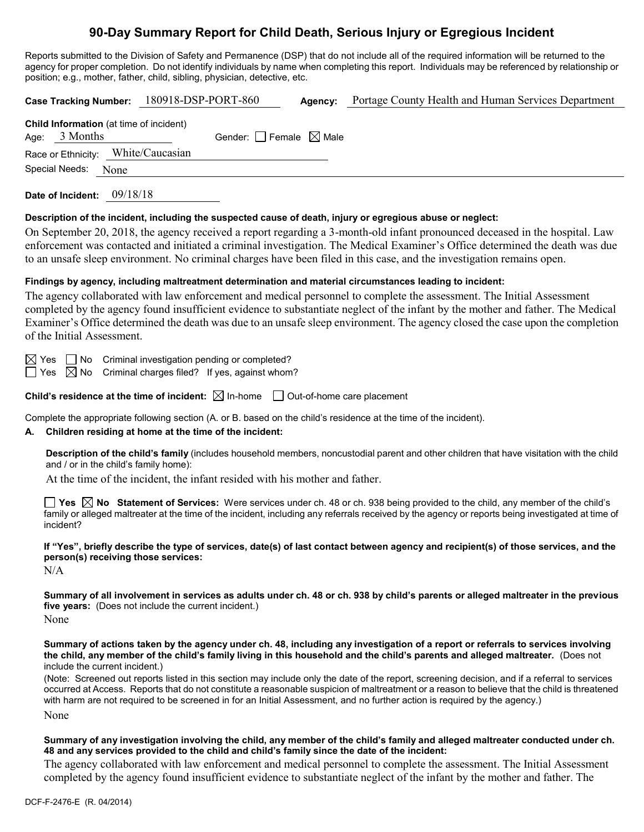# **90-Day Summary Report for Child Death, Serious Injury or Egregious Incident**

Reports submitted to the Division of Safety and Permanence (DSP) that do not include all of the required information will be returned to the agency for proper completion. Do not identify individuals by name when completing this report. Individuals may be referenced by relationship or position; e.g., mother, father, child, sibling, physician, detective, etc.

| Portage County Health and Human Services Department<br>Case Tracking Number: 180918-DSP-PORT-860<br>Agency:                                                                                                                                                                                                                                                                                                                                                                                                                         |  |  |
|-------------------------------------------------------------------------------------------------------------------------------------------------------------------------------------------------------------------------------------------------------------------------------------------------------------------------------------------------------------------------------------------------------------------------------------------------------------------------------------------------------------------------------------|--|--|
| Child Information (at time of incident)<br>Age: 3 Months<br>Gender: $\Box$ Female $\boxtimes$ Male<br>Race or Ethnicity: White/Caucasian                                                                                                                                                                                                                                                                                                                                                                                            |  |  |
| Special Needs:<br>None                                                                                                                                                                                                                                                                                                                                                                                                                                                                                                              |  |  |
| Date of Incident: 09/18/18                                                                                                                                                                                                                                                                                                                                                                                                                                                                                                          |  |  |
| Description of the incident, including the suspected cause of death, injury or egregious abuse or neglect:<br>On September 20, 2018, the agency received a report regarding a 3-month-old infant pronounced deceased in the hospital. Law<br>enforcement was contacted and initiated a criminal investigation. The Medical Examiner's Office determined the death was due<br>to an unsafe sleep environment. No criminal charges have been filed in this case, and the investigation remains open.                                  |  |  |
| Findings by agency, including maltreatment determination and material circumstances leading to incident:<br>The agency collaborated with law enforcement and medical personnel to complete the assessment. The Initial Assessment<br>completed by the agency found insufficient evidence to substantiate neglect of the infant by the mother and father. The Medical<br>Examiner's Office determined the death was due to an unsafe sleep environment. The agency closed the case upon the completion<br>of the Initial Assessment. |  |  |
| $\boxtimes$ Yes $\Box$ No Criminal investigation pending or completed?<br>$\Box$ Yes $\boxtimes$ No Criminal charges filed? If yes, against whom?                                                                                                                                                                                                                                                                                                                                                                                   |  |  |
| Child's residence at the time of incident: $\boxtimes$ In-home $\Box$ Out-of-home care placement                                                                                                                                                                                                                                                                                                                                                                                                                                    |  |  |
| Complete the appropriate following section (A. or B. based on the child's residence at the time of the incident).<br>Children residing at home at the time of the incident:<br>А.                                                                                                                                                                                                                                                                                                                                                   |  |  |
| Description of the child's family (includes household members, noncustodial parent and other children that have visitation with the child<br>and / or in the child's family home):<br>At the time of the incident, the infant resided with his mother and father.                                                                                                                                                                                                                                                                   |  |  |
| $\Box$ Yes $\boxtimes$ No Statement of Services: Were services under ch. 48 or ch. 938 being provided to the child, any member of the child's<br>family or alleged maltreater at the time of the incident, including any referrals received by the agency or reports being investigated at time of<br>incident?                                                                                                                                                                                                                     |  |  |
| If "Yes", briefly describe the type of services, date(s) of last contact between agency and recipient(s) of those services, and the<br>person(s) receiving those services:<br>N/A                                                                                                                                                                                                                                                                                                                                                   |  |  |
| Summary of all involvement in services as adults under ch. 48 or ch. 938 by child's parents or alleged maltreater in the previous<br>five years: (Does not include the current incident.)<br>None                                                                                                                                                                                                                                                                                                                                   |  |  |
| Summary of actions taken by the agency under ch. 48, including any investigation of a report or referrals to services involving<br>the child, any member of the child's family living in this household and the child's parents and alleged maltreater. (Does not<br>include the current incident.)<br>(Note: Screened out reports listed in this section may include only the date of the report, screening decision, and if a referral to services                                                                                |  |  |
| occurred at Access. Reports that do not constitute a reasonable suspicion of maltreatment or a reason to believe that the child is threatened<br>with harm are not required to be screened in for an Initial Assessment, and no further action is required by the agency.)                                                                                                                                                                                                                                                          |  |  |
| None                                                                                                                                                                                                                                                                                                                                                                                                                                                                                                                                |  |  |
| Summary of any investigation involving the child, any member of the child's family and alleged maltreater conducted under ch.<br>48 and any services provided to the child and child's family since the date of the incident:                                                                                                                                                                                                                                                                                                       |  |  |

The agency collaborated with law enforcement and medical personnel to complete the assessment. The Initial Assessment completed by the agency found insufficient evidence to substantiate neglect of the infant by the mother and father. The